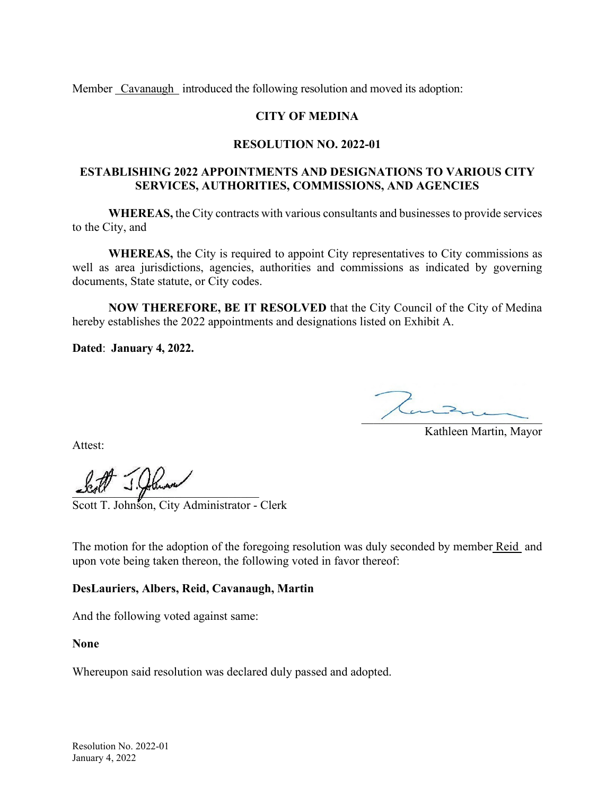Member Cavanaugh introduced the following resolution and moved its adoption:

## **CITY OF MEDINA**

### **RESOLUTION NO. 2022-01**

# **ESTABLISHING 2022 APPOINTMENTS AND DESIGNATIONS TO VARIOUS CITY SERVICES, AUTHORITIES, COMMISSIONS, AND AGENCIES**

**WHEREAS,** the City contracts with various consultants and businesses to provide services to the City, and

**WHEREAS,** the City is required to appoint City representatives to City commissions as well as area jurisdictions, agencies, authorities and commissions as indicated by governing documents, State statute, or City codes.

**NOW THEREFORE, BE IT RESOLVED** that the City Council of the City of Medina hereby establishes the 2022 appointments and designations listed on Exhibit A.

**Dated**: **January 4, 2022.**

 $\frac{1}{2}$ 

Kathleen Martin, Mayor

Attest:

 $Z_{\mathcal{U}}(x) = \int_{-\infty}^{\infty} \int_{-\infty}^{\infty} f(x) \, dx$ 

Scott T. Johnson, City Administrator - Clerk

The motion for the adoption of the foregoing resolution was duly seconded by member Reid and upon vote being taken thereon, the following voted in favor thereof:

## **DesLauriers, Albers, Reid, Cavanaugh, Martin**

And the following voted against same:

#### **None**

Whereupon said resolution was declared duly passed and adopted.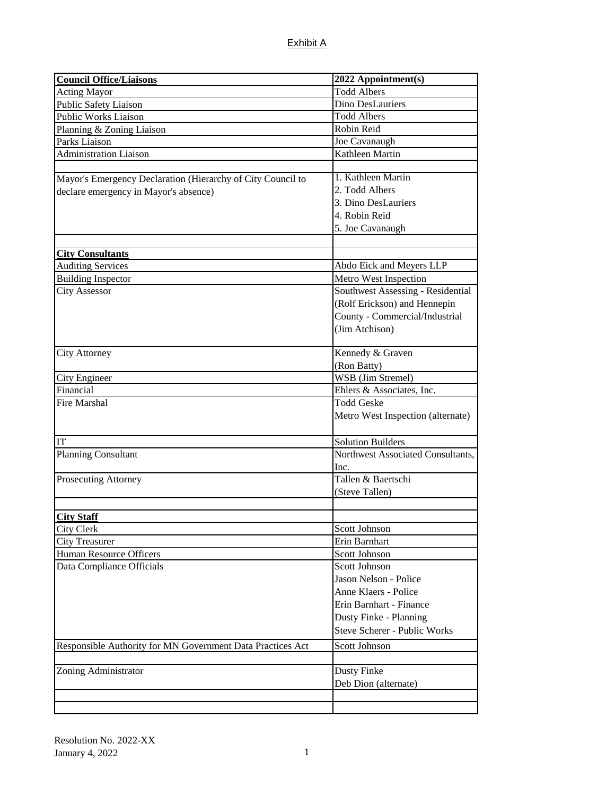# Exhibit A

| <b>Council Office/Liaisons</b>                              | 2022 Appointment(s)                            |
|-------------------------------------------------------------|------------------------------------------------|
| <b>Acting Mayor</b>                                         | <b>Todd Albers</b>                             |
| Public Safety Liaison                                       | Dino DesLauriers                               |
| Public Works Liaison                                        | <b>Todd Albers</b>                             |
| Planning & Zoning Liaison                                   | Robin Reid                                     |
| Parks Liaison                                               | Joe Cavanaugh                                  |
| <b>Administration Liaison</b>                               | Kathleen Martin                                |
|                                                             |                                                |
| Mayor's Emergency Declaration (Hierarchy of City Council to | 1. Kathleen Martin                             |
| declare emergency in Mayor's absence)                       | 2. Todd Albers                                 |
|                                                             | 3. Dino DesLauriers                            |
|                                                             | 4. Robin Reid                                  |
|                                                             | 5. Joe Cavanaugh                               |
|                                                             |                                                |
| <b>City Consultants</b>                                     |                                                |
| <b>Auditing Services</b>                                    | Abdo Eick and Meyers LLP                       |
| <b>Building Inspector</b>                                   | Metro West Inspection                          |
| <b>City Assessor</b>                                        | Southwest Assessing - Residential              |
|                                                             | (Rolf Erickson) and Hennepin                   |
|                                                             | County - Commercial/Industrial                 |
|                                                             | (Jim Atchison)                                 |
|                                                             |                                                |
| <b>City Attorney</b>                                        | Kennedy & Graven                               |
|                                                             | (Ron Batty)                                    |
| <b>City Engineer</b><br>Financial                           | WSB (Jim Stremel)<br>Ehlers & Associates, Inc. |
| Fire Marshal                                                | <b>Todd Geske</b>                              |
|                                                             | Metro West Inspection (alternate)              |
|                                                             |                                                |
| <b>IT</b>                                                   | <b>Solution Builders</b>                       |
| <b>Planning Consultant</b>                                  | Northwest Associated Consultants,              |
|                                                             | Inc.                                           |
| <b>Prosecuting Attorney</b>                                 | Tallen & Baertschi                             |
|                                                             | (Steve Tallen)                                 |
|                                                             |                                                |
| <b>City Staff</b>                                           |                                                |
| <b>City Clerk</b>                                           | Scott Johnson                                  |
| <b>City Treasurer</b>                                       | Erin Barnhart                                  |
| Human Resource Officers                                     | Scott Johnson                                  |
| Data Compliance Officials                                   | Scott Johnson                                  |
|                                                             | Jason Nelson - Police                          |
|                                                             | Anne Klaers - Police                           |
|                                                             | Erin Barnhart - Finance                        |
|                                                             | Dusty Finke - Planning                         |
|                                                             | <b>Steve Scherer - Public Works</b>            |
|                                                             |                                                |
| Responsible Authority for MN Government Data Practices Act  | Scott Johnson                                  |
| Zoning Administrator                                        | Dusty Finke                                    |
|                                                             | Deb Dion (alternate)                           |
|                                                             |                                                |
|                                                             |                                                |